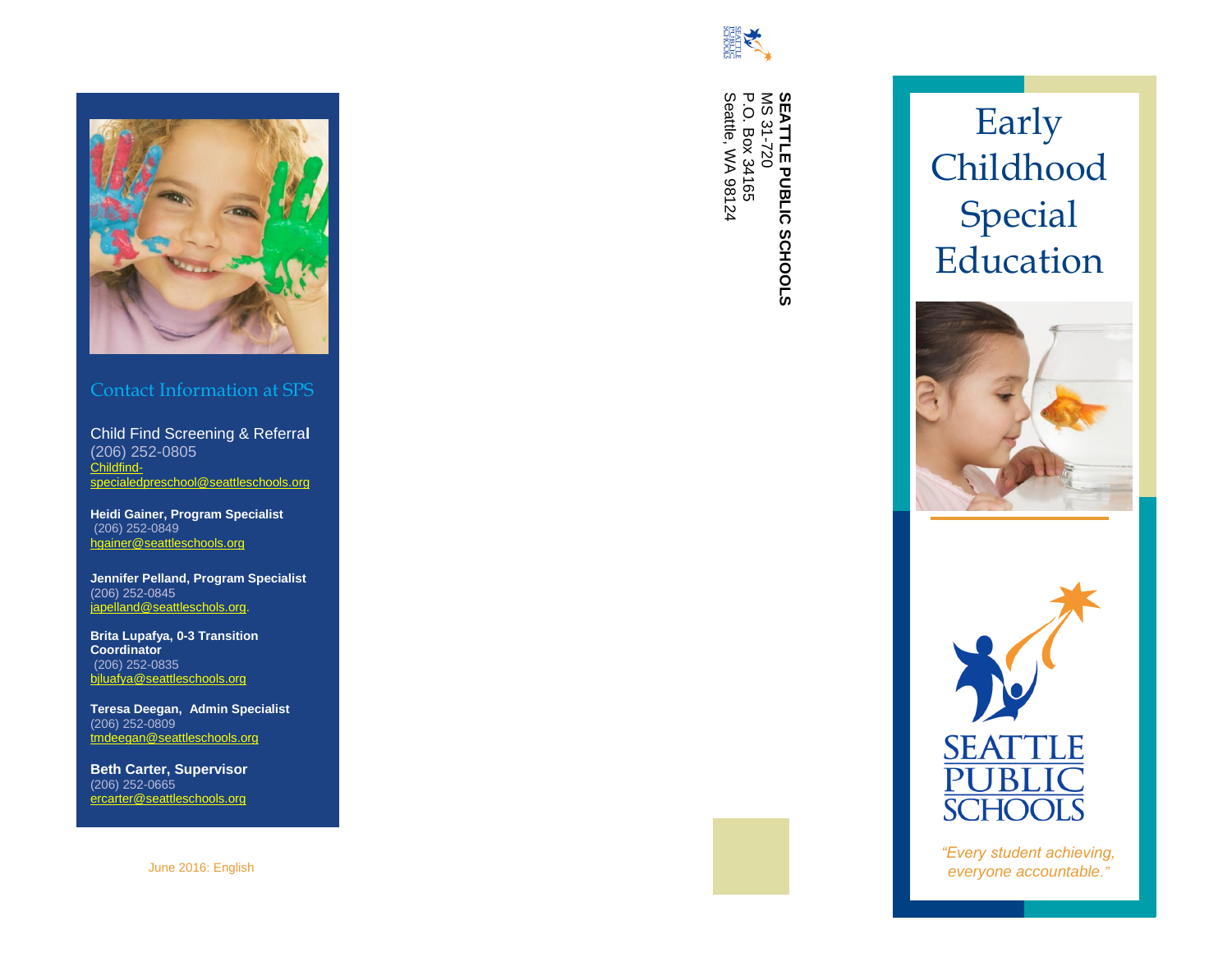

### Contact Information at SPS

Child Find Screening & Referra **l** (206) 252 -0805 [Childfind](mailto:Childfind-specialedpreschool@seattleschools.org) [specialedpreschool@seattleschools.org](mailto:Childfind-specialedpreschool@seattleschools.org)

**Heidi Gainer, Program Specialist** (206) 252 -0849 [hgainer@seattleschools.org](mailto:hgainer@seattleschools.org)

**Jennifer Pelland, Program Specialist** (206) 252 -0845 [japelland@seattleschols.org.](mailto:japelland@seattleschols.org)

**Brita Lupafya, 0 -3 Transition Coordinator** (206) 252 -083 5 bjluafya@seattleschools.org

**Teresa Deegan, Admin Specialist** (206) 252 -0809 tmdeegan@seattleschools.org

**Beth Carter, Supervisor** (206) 252 -0665 ercarter@seattleschools.org

June 2016: English



**SEATTLE PUBLIC SCHOOLS**<br>MS 31-720<br>P.O. Box 34165<br>Seattle, WA 98124 Seattle, WA 98124 P.O. Box 34165 MS 31-720 **SEATTLE PUBLIC SCHOOLS**







*"Every student achieving, everyone accountable."*